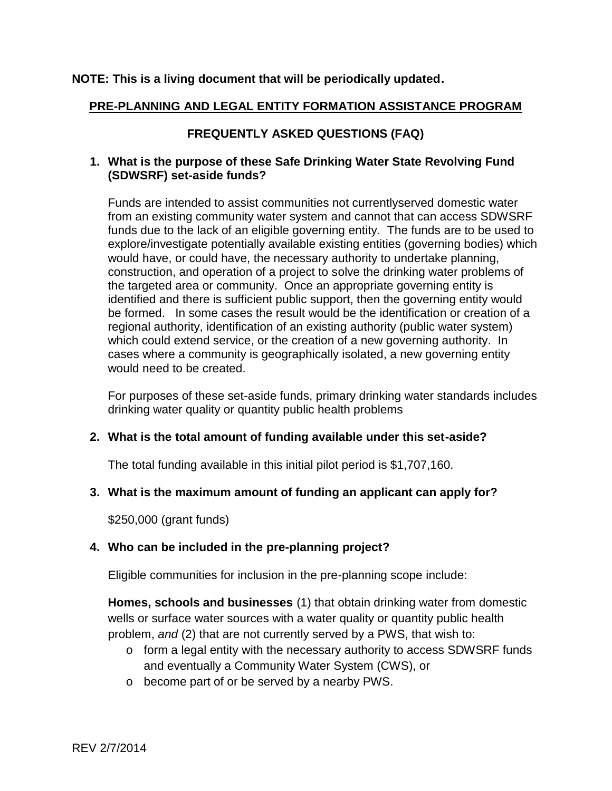## **NOTE: This is a living document that will be periodically updated.**

# **PRE-PLANNING AND LEGAL ENTITY FORMATION ASSISTANCE PROGRAM**

# **FREQUENTLY ASKED QUESTIONS (FAQ)**

## **1. What is the purpose of these Safe Drinking Water State Revolving Fund (SDWSRF) set-aside funds?**

Funds are intended to assist communities not currentlyserved domestic water from an existing community water system and cannot that can access SDWSRF funds due to the lack of an eligible governing entity. The funds are to be used to explore/investigate potentially available existing entities (governing bodies) which would have, or could have, the necessary authority to undertake planning, construction, and operation of a project to solve the drinking water problems of the targeted area or community. Once an appropriate governing entity is identified and there is sufficient public support, then the governing entity would be formed. In some cases the result would be the identification or creation of a regional authority, identification of an existing authority (public water system) which could extend service, or the creation of a new governing authority. In cases where a community is geographically isolated, a new governing entity would need to be created.

For purposes of these set-aside funds, primary drinking water standards includes drinking water quality or quantity public health problems

## **2. What is the total amount of funding available under this set-aside?**

The total funding available in this initial pilot period is \$1,707,160.

## **3. What is the maximum amount of funding an applicant can apply for?**

\$250,000 (grant funds)

## **4. Who can be included in the pre-planning project?**

Eligible communities for inclusion in the pre-planning scope include:

**Homes, schools and businesses** (1) that obtain drinking water from domestic wells or surface water sources with a water quality or quantity public health problem, *and* (2) that are not currently served by a PWS, that wish to:

- o form a legal entity with the necessary authority to access SDWSRF funds and eventually a Community Water System (CWS), or
- o become part of or be served by a nearby PWS.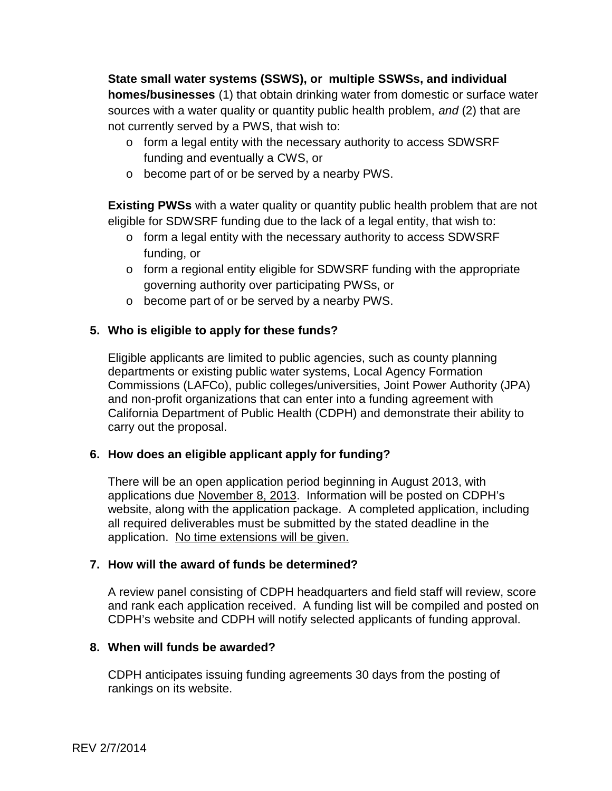**State small water systems (SSWS), or multiple SSWSs, and individual homes/businesses** (1) that obtain drinking water from domestic or surface water sources with a water quality or quantity public health problem, *and* (2) that are not currently served by a PWS, that wish to:

- o form a legal entity with the necessary authority to access SDWSRF funding and eventually a CWS, or
- o become part of or be served by a nearby PWS.

**Existing PWSs** with a water quality or quantity public health problem that are not eligible for SDWSRF funding due to the lack of a legal entity, that wish to:

- o form a legal entity with the necessary authority to access SDWSRF funding, or
- o form a regional entity eligible for SDWSRF funding with the appropriate governing authority over participating PWSs, or
- o become part of or be served by a nearby PWS.

# **5. Who is eligible to apply for these funds?**

Eligible applicants are limited to public agencies, such as county planning departments or existing public water systems, Local Agency Formation Commissions (LAFCo), public colleges/universities, Joint Power Authority (JPA) and non-profit organizations that can enter into a funding agreement with California Department of Public Health (CDPH) and demonstrate their ability to carry out the proposal.

## **6. How does an eligible applicant apply for funding?**

There will be an open application period beginning in August 2013, with applications due November 8, 2013. Information will be posted on CDPH's website, along with the application package. A completed application, including all required deliverables must be submitted by the stated deadline in the application. No time extensions will be given.

## **7. How will the award of funds be determined?**

A review panel consisting of CDPH headquarters and field staff will review, score and rank each application received. A funding list will be compiled and posted on CDPH's website and CDPH will notify selected applicants of funding approval.

## **8. When will funds be awarded?**

CDPH anticipates issuing funding agreements 30 days from the posting of rankings on its website.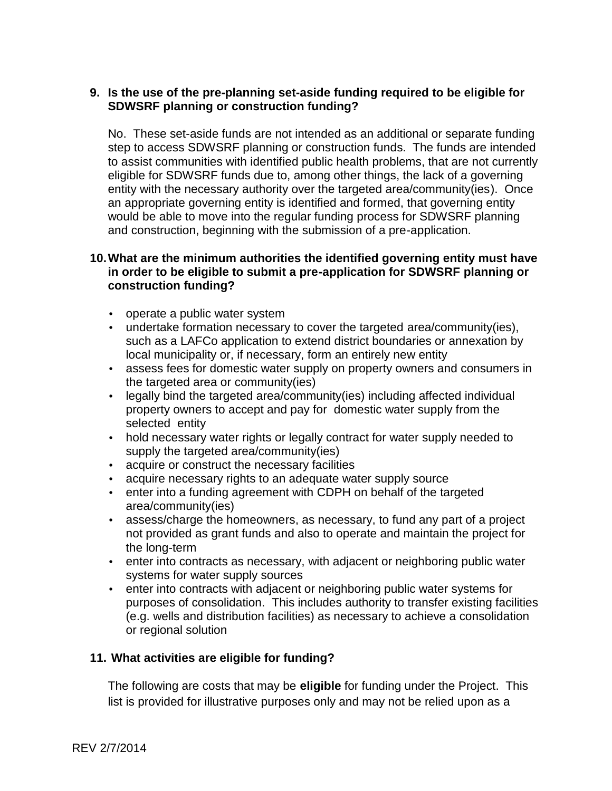# **9. Is the use of the pre-planning set-aside funding required to be eligible for SDWSRF planning or construction funding?**

No. These set-aside funds are not intended as an additional or separate funding step to access SDWSRF planning or construction funds. The funds are intended to assist communities with identified public health problems, that are not currently eligible for SDWSRF funds due to, among other things, the lack of a governing entity with the necessary authority over the targeted area/community(ies). Once an appropriate governing entity is identified and formed, that governing entity would be able to move into the regular funding process for SDWSRF planning and construction, beginning with the submission of a pre-application.

# **10.What are the minimum authorities the identified governing entity must have in order to be eligible to submit a pre-application for SDWSRF planning or construction funding?**

- operate a public water system
- undertake formation necessary to cover the targeted area/community(ies), such as a LAFCo application to extend district boundaries or annexation by local municipality or, if necessary, form an entirely new entity
- assess fees for domestic water supply on property owners and consumers in the targeted area or community(ies)
- legally bind the targeted area/community(ies) including affected individual property owners to accept and pay for domestic water supply from the selected entity
- hold necessary water rights or legally contract for water supply needed to supply the targeted area/community(ies)
- acquire or construct the necessary facilities
- acquire necessary rights to an adequate water supply source
- enter into a funding agreement with CDPH on behalf of the targeted area/community(ies)
- assess/charge the homeowners, as necessary, to fund any part of a project not provided as grant funds and also to operate and maintain the project for the long-term
- enter into contracts as necessary, with adjacent or neighboring public water systems for water supply sources
- enter into contracts with adjacent or neighboring public water systems for purposes of consolidation. This includes authority to transfer existing facilities (e.g. wells and distribution facilities) as necessary to achieve a consolidation or regional solution

# **11. What activities are eligible for funding?**

The following are costs that may be **eligible** for funding under the Project. This list is provided for illustrative purposes only and may not be relied upon as a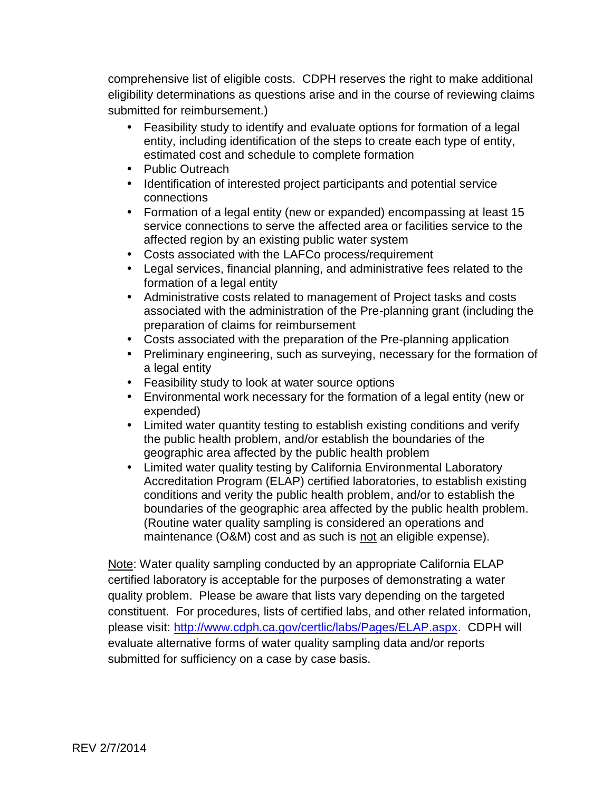comprehensive list of eligible costs. CDPH reserves the right to make additional eligibility determinations as questions arise and in the course of reviewing claims submitted for reimbursement.)

- Feasibility study to identify and evaluate options for formation of a legal entity, including identification of the steps to create each type of entity, estimated cost and schedule to complete formation
- Public Outreach
- Identification of interested project participants and potential service connections
- Formation of a legal entity (new or expanded) encompassing at least 15 service connections to serve the affected area or facilities service to the affected region by an existing public water system
- Costs associated with the LAFCo process/requirement
- Legal services, financial planning, and administrative fees related to the formation of a legal entity
- Administrative costs related to management of Project tasks and costs associated with the administration of the Pre-planning grant (including the preparation of claims for reimbursement
- Costs associated with the preparation of the Pre-planning application
- Preliminary engineering, such as surveying, necessary for the formation of a legal entity
- Feasibility study to look at water source options
- Environmental work necessary for the formation of a legal entity (new or expended)
- Limited water quantity testing to establish existing conditions and verify the public health problem, and/or establish the boundaries of the geographic area affected by the public health problem
- Limited water quality testing by California Environmental Laboratory Accreditation Program (ELAP) certified laboratories, to establish existing conditions and verity the public health problem, and/or to establish the boundaries of the geographic area affected by the public health problem. (Routine water quality sampling is considered an operations and maintenance (O&M) cost and as such is not an eligible expense).

Note: Water quality sampling conducted by an appropriate California ELAP certified laboratory is acceptable for the purposes of demonstrating a water quality problem. Please be aware that lists vary depending on the targeted constituent. For procedures, lists of certified labs, and other related information, please visit: http://www.cdph.ca.gov/certlic/labs/Pages/ELAP.aspx. CDPH will evaluate alternative forms of water quality sampling data and/or reports submitted for sufficiency on a case by case basis.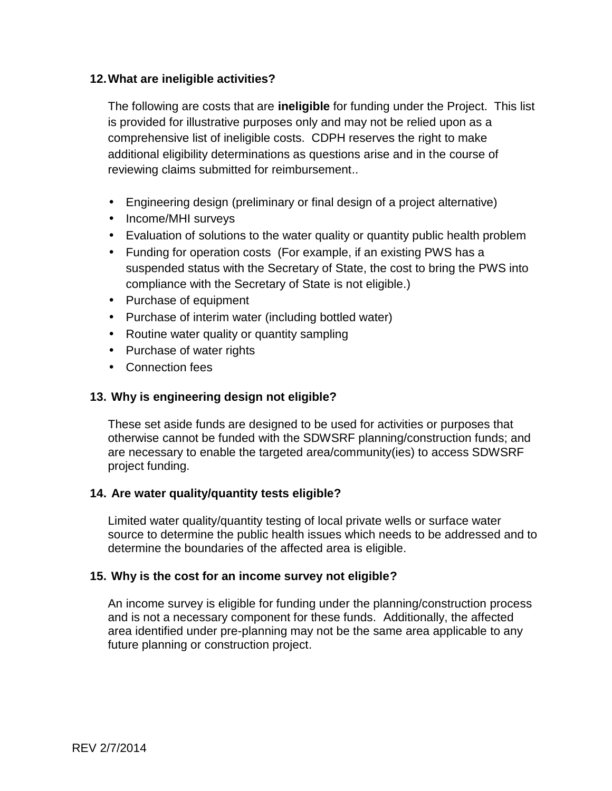# **12.What are ineligible activities?**

The following are costs that are **ineligible** for funding under the Project. This list is provided for illustrative purposes only and may not be relied upon as a comprehensive list of ineligible costs. CDPH reserves the right to make additional eligibility determinations as questions arise and in the course of reviewing claims submitted for reimbursement..

- Engineering design (preliminary or final design of a project alternative)
- Income/MHI surveys
- Evaluation of solutions to the water quality or quantity public health problem
- Funding for operation costs (For example, if an existing PWS has a suspended status with the Secretary of State, the cost to bring the PWS into compliance with the Secretary of State is not eligible.)
- Purchase of equipment
- Purchase of interim water (including bottled water)
- Routine water quality or quantity sampling
- Purchase of water rights
- Connection fees

# **13. Why is engineering design not eligible?**

These set aside funds are designed to be used for activities or purposes that otherwise cannot be funded with the SDWSRF planning/construction funds; and are necessary to enable the targeted area/community(ies) to access SDWSRF project funding.

## **14. Are water quality/quantity tests eligible?**

Limited water quality/quantity testing of local private wells or surface water source to determine the public health issues which needs to be addressed and to determine the boundaries of the affected area is eligible.

## **15. Why is the cost for an income survey not eligible?**

An income survey is eligible for funding under the planning/construction process and is not a necessary component for these funds. Additionally, the affected area identified under pre-planning may not be the same area applicable to any future planning or construction project.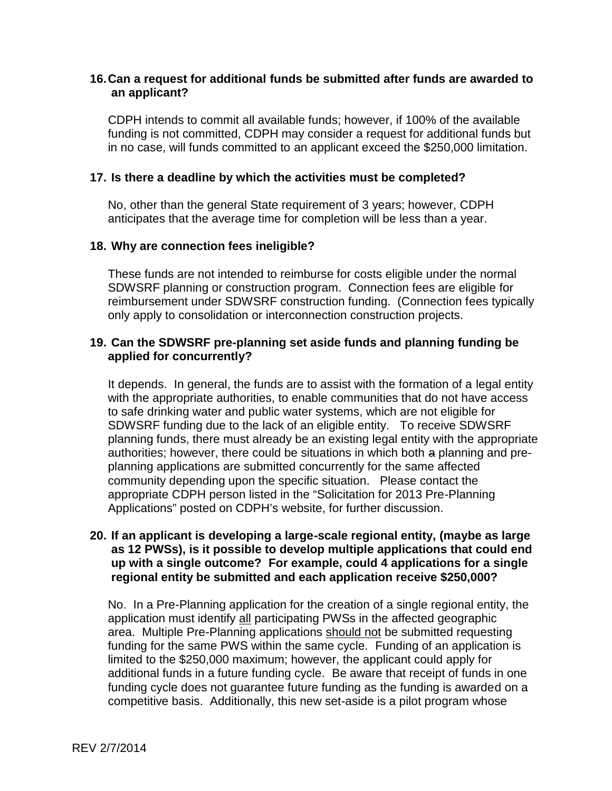### **16.Can a request for additional funds be submitted after funds are awarded to an applicant?**

CDPH intends to commit all available funds; however, if 100% of the available funding is not committed, CDPH may consider a request for additional funds but in no case, will funds committed to an applicant exceed the \$250,000 limitation.

#### **17. Is there a deadline by which the activities must be completed?**

No, other than the general State requirement of 3 years; however, CDPH anticipates that the average time for completion will be less than a year.

#### **18. Why are connection fees ineligible?**

These funds are not intended to reimburse for costs eligible under the normal SDWSRF planning or construction program. Connection fees are eligible for reimbursement under SDWSRF construction funding. (Connection fees typically only apply to consolidation or interconnection construction projects.

#### **19. Can the SDWSRF pre-planning set aside funds and planning funding be applied for concurrently?**

It depends. In general, the funds are to assist with the formation of a legal entity with the appropriate authorities, to enable communities that do not have access to safe drinking water and public water systems, which are not eligible for SDWSRF funding due to the lack of an eligible entity. To receive SDWSRF planning funds, there must already be an existing legal entity with the appropriate authorities; however, there could be situations in which both a planning and pre planning applications are submitted concurrently for the same affected community depending upon the specific situation. Please contact the appropriate CDPH person listed in the "Solicitation for 2013 Pre-Planning Applications" posted on CDPH's website, for further discussion.

#### **20. If an applicant is developing a large-scale regional entity, (maybe as large as 12 PWSs), is it possible to develop multiple applications that could end up with a single outcome? For example, could 4 applications for a single regional entity be submitted and each application receive \$250,000?**

No. In a Pre-Planning application for the creation of a single regional entity, the application must identify all participating PWSs in the affected geographic area. Multiple Pre-Planning applications should not be submitted requesting funding for the same PWS within the same cycle. Funding of an application is limited to the \$250,000 maximum; however, the applicant could apply for additional funds in a future funding cycle. Be aware that receipt of funds in one funding cycle does not guarantee future funding as the funding is awarded on a competitive basis. Additionally, this new set-aside is a pilot program whose